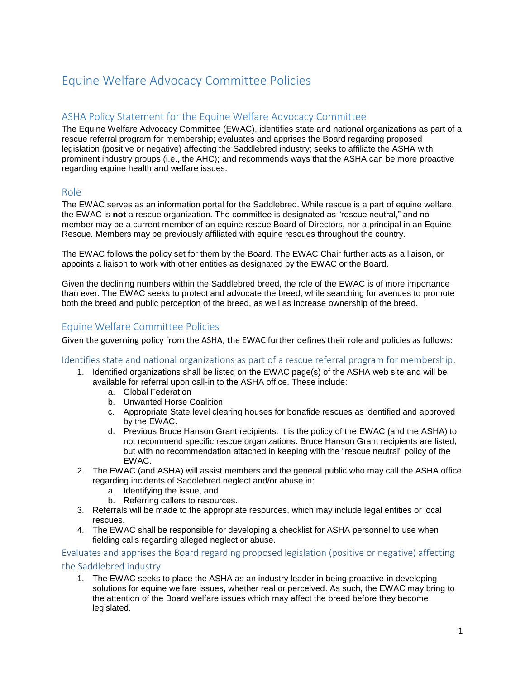# Equine Welfare Advocacy Committee Policies

# ASHA Policy Statement for the Equine Welfare Advocacy Committee

The Equine Welfare Advocacy Committee (EWAC), identifies state and national organizations as part of a rescue referral program for membership; evaluates and apprises the Board regarding proposed legislation (positive or negative) affecting the Saddlebred industry; seeks to affiliate the ASHA with prominent industry groups (i.e., the AHC); and recommends ways that the ASHA can be more proactive regarding equine health and welfare issues.

## Role

The EWAC serves as an information portal for the Saddlebred. While rescue is a part of equine welfare, the EWAC is **not** a rescue organization. The committee is designated as "rescue neutral," and no member may be a current member of an equine rescue Board of Directors, nor a principal in an Equine Rescue. Members may be previously affiliated with equine rescues throughout the country.

The EWAC follows the policy set for them by the Board. The EWAC Chair further acts as a liaison, or appoints a liaison to work with other entities as designated by the EWAC or the Board.

Given the declining numbers within the Saddlebred breed, the role of the EWAC is of more importance than ever. The EWAC seeks to protect and advocate the breed, while searching for avenues to promote both the breed and public perception of the breed, as well as increase ownership of the breed.

# Equine Welfare Committee Policies

Given the governing policy from the ASHA, the EWAC further defines their role and policies as follows:

#### Identifies state and national organizations as part of a rescue referral program for membership.

- 1. Identified organizations shall be listed on the EWAC page(s) of the ASHA web site and will be available for referral upon call-in to the ASHA office. These include:
	- a. Global Federation
	- b. Unwanted Horse Coalition
	- c. Appropriate State level clearing houses for bonafide rescues as identified and approved by the EWAC.
	- d. Previous Bruce Hanson Grant recipients. It is the policy of the EWAC (and the ASHA) to not recommend specific rescue organizations. Bruce Hanson Grant recipients are listed, but with no recommendation attached in keeping with the "rescue neutral" policy of the EWAC.
- 2. The EWAC (and ASHA) will assist members and the general public who may call the ASHA office regarding incidents of Saddlebred neglect and/or abuse in:
	- a. Identifying the issue, and
	- b. Referring callers to resources.
- 3. Referrals will be made to the appropriate resources, which may include legal entities or local rescues.
- 4. The EWAC shall be responsible for developing a checklist for ASHA personnel to use when fielding calls regarding alleged neglect or abuse.

Evaluates and apprises the Board regarding proposed legislation (positive or negative) affecting the Saddlebred industry.

1. The EWAC seeks to place the ASHA as an industry leader in being proactive in developing solutions for equine welfare issues, whether real or perceived. As such, the EWAC may bring to the attention of the Board welfare issues which may affect the breed before they become legislated.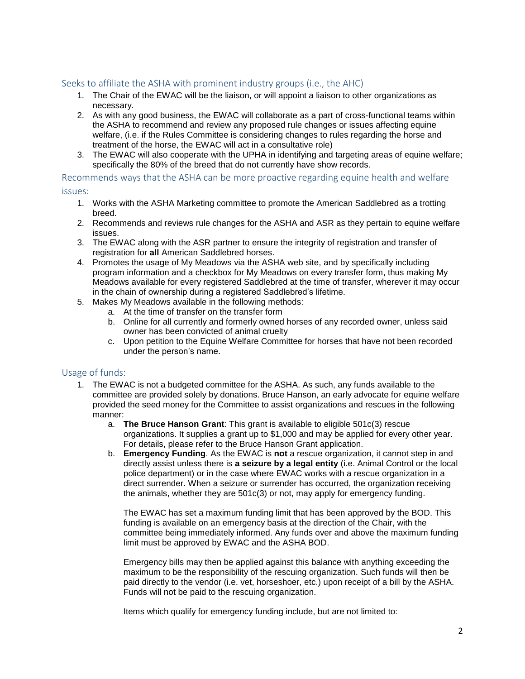## Seeks to affiliate the ASHA with prominent industry groups (i.e., the AHC)

- 1. The Chair of the EWAC will be the liaison, or will appoint a liaison to other organizations as necessary.
- 2. As with any good business, the EWAC will collaborate as a part of cross-functional teams within the ASHA to recommend and review any proposed rule changes or issues affecting equine welfare, (i.e. if the Rules Committee is considering changes to rules regarding the horse and treatment of the horse, the EWAC will act in a consultative role)
- 3. The EWAC will also cooperate with the UPHA in identifying and targeting areas of equine welfare; specifically the 80% of the breed that do not currently have show records.

Recommends ways that the ASHA can be more proactive regarding equine health and welfare

#### issues:

- 1. Works with the ASHA Marketing committee to promote the American Saddlebred as a trotting breed.
- 2. Recommends and reviews rule changes for the ASHA and ASR as they pertain to equine welfare issues.
- 3. The EWAC along with the ASR partner to ensure the integrity of registration and transfer of registration for **all** American Saddlebred horses.
- 4. Promotes the usage of My Meadows via the ASHA web site, and by specifically including program information and a checkbox for My Meadows on every transfer form, thus making My Meadows available for every registered Saddlebred at the time of transfer, wherever it may occur in the chain of ownership during a registered Saddlebred's lifetime.
- 5. Makes My Meadows available in the following methods:
	- a. At the time of transfer on the transfer form
	- b. Online for all currently and formerly owned horses of any recorded owner, unless said owner has been convicted of animal cruelty
	- c. Upon petition to the Equine Welfare Committee for horses that have not been recorded under the person's name.

### Usage of funds:

- 1. The EWAC is not a budgeted committee for the ASHA. As such, any funds available to the committee are provided solely by donations. Bruce Hanson, an early advocate for equine welfare provided the seed money for the Committee to assist organizations and rescues in the following manner:
	- a. **The Bruce Hanson Grant**: This grant is available to eligible 501c(3) rescue organizations. It supplies a grant up to \$1,000 and may be applied for every other year. For details, please refer to the Bruce Hanson Grant application.
	- b. **Emergency Funding**. As the EWAC is **not** a rescue organization, it cannot step in and directly assist unless there is **a seizure by a legal entity** (i.e. Animal Control or the local police department) or in the case where EWAC works with a rescue organization in a direct surrender. When a seizure or surrender has occurred, the organization receiving the animals, whether they are 501c(3) or not, may apply for emergency funding.

The EWAC has set a maximum funding limit that has been approved by the BOD. This funding is available on an emergency basis at the direction of the Chair, with the committee being immediately informed. Any funds over and above the maximum funding limit must be approved by EWAC and the ASHA BOD.

Emergency bills may then be applied against this balance with anything exceeding the maximum to be the responsibility of the rescuing organization. Such funds will then be paid directly to the vendor (i.e. vet, horseshoer, etc.) upon receipt of a bill by the ASHA. Funds will not be paid to the rescuing organization.

Items which qualify for emergency funding include, but are not limited to: